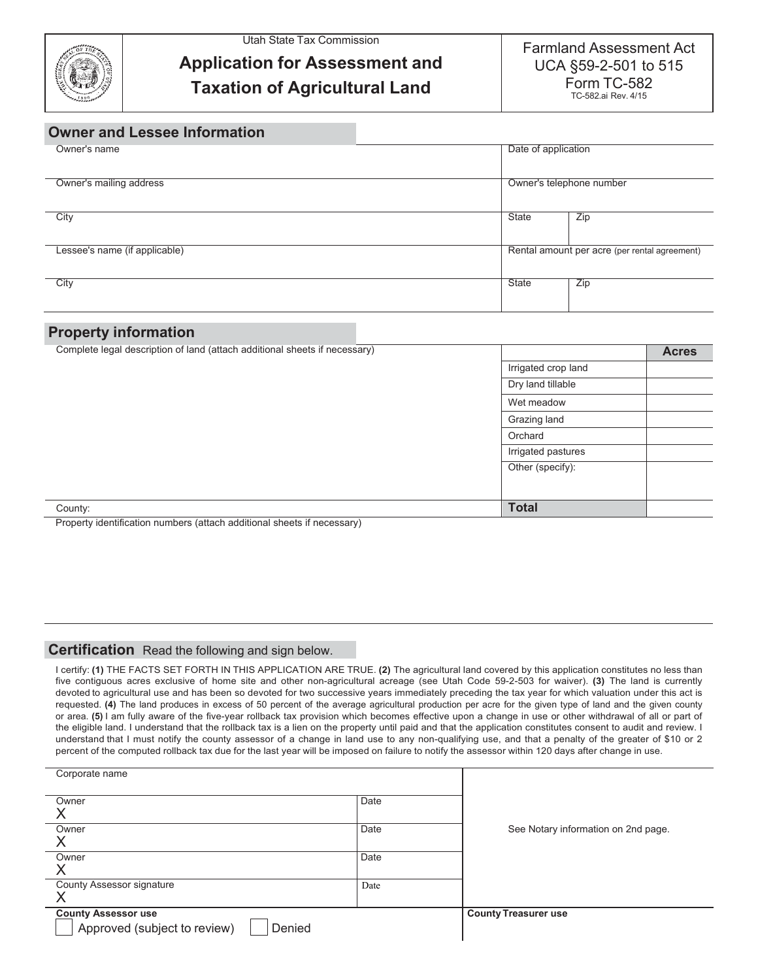

Utah State Tax Commission

## **Application for Assessment and Taxation of Agricultural Land**

Farmland Assessment Act UCA §59-2-501 to 515 Form TC-582 TC-582.ai Rev. 4/15

## **Owner and Lessee Information**

| Owner's name                  | Date of application                           |     |  |
|-------------------------------|-----------------------------------------------|-----|--|
| Owner's mailing address       | Owner's telephone number                      |     |  |
| City                          | State                                         | Zip |  |
| Lessee's name (if applicable) | Rental amount per acre (per rental agreement) |     |  |
| City                          | State                                         | Zip |  |

## **Property information**

| Complete legal description of land (attach additional sheets if necessary) |                     | <b>Acres</b> |
|----------------------------------------------------------------------------|---------------------|--------------|
|                                                                            | Irrigated crop land |              |
|                                                                            | Dry land tillable   |              |
|                                                                            | Wet meadow          |              |
|                                                                            | Grazing land        |              |
|                                                                            | Orchard             |              |
|                                                                            | Irrigated pastures  |              |
|                                                                            | Other (specify):    |              |
|                                                                            |                     |              |
| County:                                                                    | <b>Total</b>        |              |
| Property identification numbers (attach additional sheets if necessary)    |                     |              |

## **Certification** Read the following and sign below.

I certify: **(1)** THE FACTS SET FORTH IN THIS APPLICATION ARE TRUE. **(2)** The agricultural land covered by this application constitutes no less than five contiguous acres exclusive of home site and other non-agricultural acreage (see Utah Code 59-2-503 for waiver). **(3)** The land is currently devoted to agricultural use and has been so devoted for two successive years immediately preceding the tax year for which valuation under this act is requested. **(4)** The land produces in excess of 50 percent of the average agricultural production per acre for the given type of land and the given county or area. **(5)** I am fully aware of the five-year rollback tax provision which becomes effective upon a change in use or other withdrawal of all or part of the eligible land. I understand that the rollback tax is a lien on the property until paid and that the application constitutes consent to audit and review. I understand that I must notify the county assessor of a change in land use to any non-qualifying use, and that a penalty of the greater of \$10 or 2 percent of the computed rollback tax due for the last year will be imposed on failure to notify the assessor within 120 days after change in use.

| Corporate name                                                       |      |                                     |
|----------------------------------------------------------------------|------|-------------------------------------|
| Owner<br>X                                                           | Date |                                     |
| Owner<br>Χ                                                           | Date | See Notary information on 2nd page. |
| Owner<br>X                                                           | Date |                                     |
| County Assessor signature<br>X                                       | Date |                                     |
| <b>County Assessor use</b><br>Approved (subject to review)<br>Denied |      | <b>County Treasurer use</b>         |